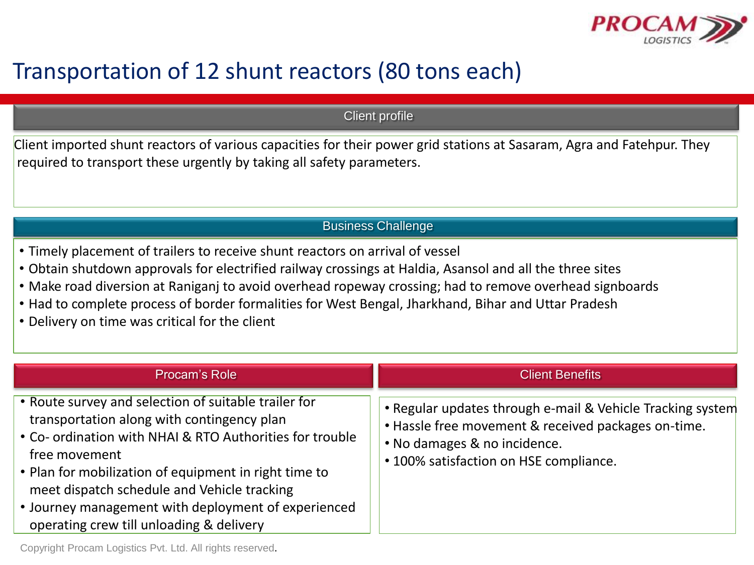

## Transportation of 12 shunt reactors (80 tons each)

Client profile

Client imported shunt reactors of various capacities for their power grid stations at Sasaram, Agra and Fatehpur. They required to transport these urgently by taking all safety parameters.

## Business Challenge

- Timely placement of trailers to receive shunt reactors on arrival of vessel
- Obtain shutdown approvals for electrified railway crossings at Haldia, Asansol and all the three sites
- Make road diversion at Raniganj to avoid overhead ropeway crossing; had to remove overhead signboards
- Had to complete process of border formalities for West Bengal, Jharkhand, Bihar and Uttar Pradesh
- Delivery on time was critical for the client

| Procam's Role                                                                                                                                                                                                                                                                                                                                                                              | <b>Client Benefits</b>                                                                                                                                                                      |
|--------------------------------------------------------------------------------------------------------------------------------------------------------------------------------------------------------------------------------------------------------------------------------------------------------------------------------------------------------------------------------------------|---------------------------------------------------------------------------------------------------------------------------------------------------------------------------------------------|
| • Route survey and selection of suitable trailer for<br>transportation along with contingency plan<br>• Co- ordination with NHAI & RTO Authorities for trouble<br>free movement<br>• Plan for mobilization of equipment in right time to<br>meet dispatch schedule and Vehicle tracking<br>• Journey management with deployment of experienced<br>operating crew till unloading & delivery | • Regular updates through e-mail & Vehicle Tracking system<br>. Hassle free movement & received packages on-time.<br>• No damages & no incidence.<br>• 100% satisfaction on HSE compliance. |

## Copyright Procam Logistics Pvt. Ltd. All rights reserved.